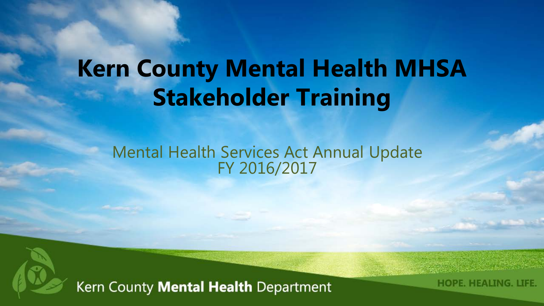### **Kern County Mental Health MHSA Stakeholder Training**

### Mental Health Services Act Annual Update FY 2016/2017



Kern County Mental Health Department

**HOPE, HEALING, LIFE**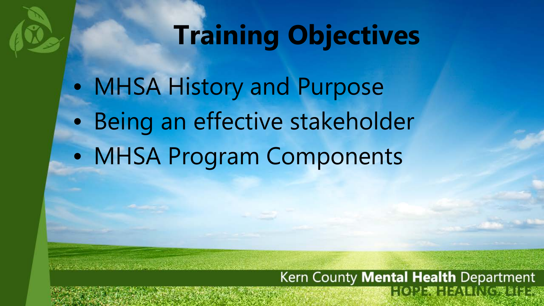### **Training Objectives**

• MHSA History and Purpose • Being an effective stakeholder • MHSA Program Components

### Kern County Mental Health Department **EQUESTION CONTRACT**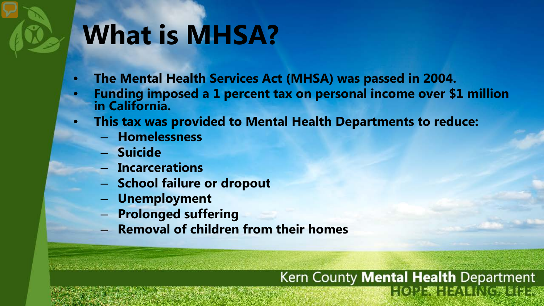### **What is MHSA?**

- **The Mental Health Services Act (MHSA) was passed in 2004.**
- **Funding imposed a 1 percent tax on personal income over \$1 million in California.**
- **This tax was provided to Mental Health Departments to reduce:** 
	- **Homelessness**
	- **Suicide**
	- **Incarcerations**
	- **School failure or dropout**
	- **Unemployment**
	- **Prolonged suffering**
	- **Removal of children from their homes**

#### Kern County Mental Health Department **EQUELITABINGRESIA**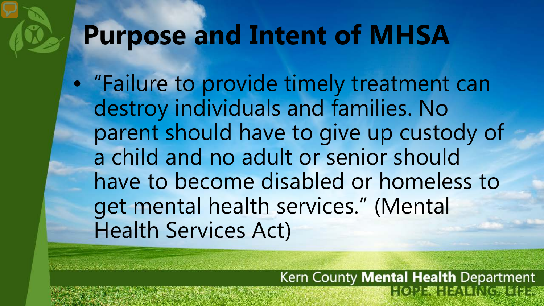### **Purpose and Intent of MHSA**

• "Failure to provide timely treatment can destroy individuals and families. No parent should have to give up custody of a child and no adult or senior should have to become disabled or homeless to get mental health services." (Mental Health Services Act)

> Kern County Mental Health Department **EQUELITY INCREDE**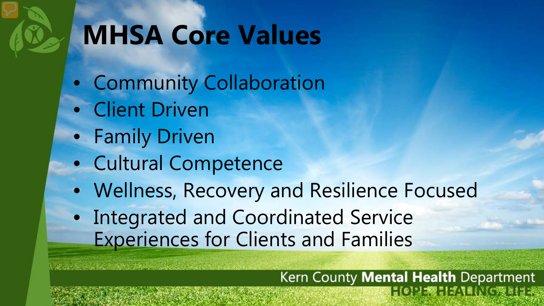### **MHSA Core Values**

- Community Collaboration
- Client Driven
- Family Driven
- Cultural Competence
- Wellness, Recovery and Resilience Focused
- Integrated and Coordinated Service Experiences for Clients and Families

#### Kern County Mental Health Department  $3027771716$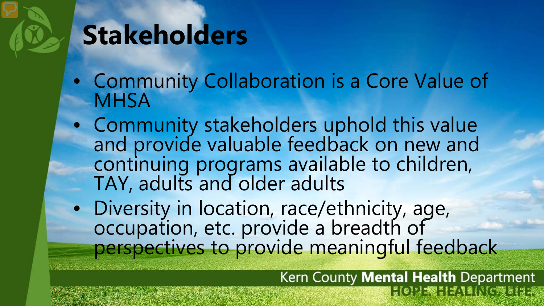### **Stakeholders**

- Community Collaboration is a Core Value of **MHSA**
- Community stakeholders uphold this value and provide valuable feedback on new and continuing programs available to children, TAY, adults and older adults
- Diversity in location, race/ethnicity, age, occupation, etc. provide a breadth of perspectives to provide meaningful feedback

Kern County Mental Health Department  $\frac{1}{2}$  (e)  $\frac{1}{2}$  ,  $\frac{1}{2}$  ,  $\frac{1}{2}$  ,  $\frac{1}{2}$  ,  $\frac{1}{2}$  ,  $\frac{1}{2}$  ,  $\frac{1}{2}$  ,  $\frac{1}{2}$  ,  $\frac{1}{2}$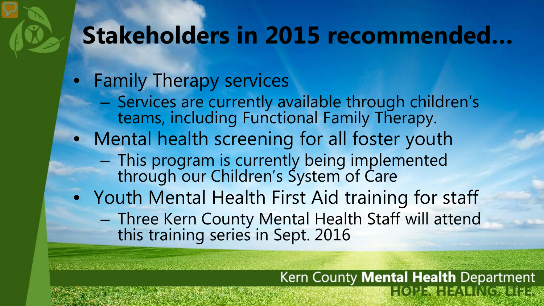### **Stakeholders in 2015 recommended…**

- Family Therapy services
	- Services are currently available through children's teams, including Functional Family Therapy.
- Mental health screening for all foster youth
	- This program is currently being implemented through our Children's System of Care
- Youth Mental Health First Aid training for staff
	- Three Kern County Mental Health Staff will attend this training series in Sept. 2016

Kern County Mental Health Department **EQUELIFIED AND INTERNATION**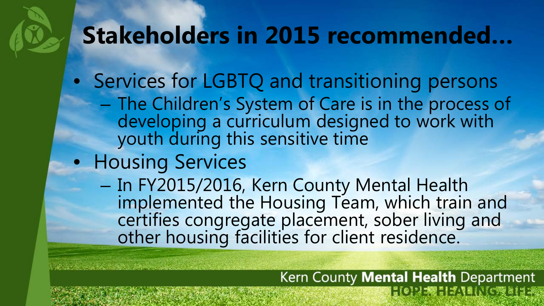### **Stakeholders in 2015 recommended…**

- Services for LGBTQ and transitioning persons
	- The Children's System of Care is in the process of developing a curriculum designed to work with youth during this sensitive time
- Housing Services
	- In FY2015/2016, Kern County Mental Health implemented the Housing Team, which train and certifies congregate placement, sober living and other housing facilities for client residence.

Kern County Mental Health Department  $\frac{1}{16}$  (e)  $\frac{1}{2}$   $\frac{1}{20}$   $\frac{1}{20}$   $\frac{1}{20}$   $\frac{1}{20}$   $\frac{1}{20}$   $\frac{1}{20}$   $\frac{1}{20}$   $\frac{1}{20}$   $\frac{1}{20}$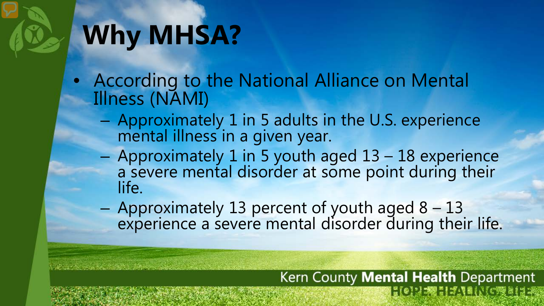## **Why MHSA?**

- According to the National Alliance on Mental Illness (NAMI)
	- Approximately 1 in 5 adults in the U.S. experience mental illness in a given year.
	- Approximately 1 in 5 youth aged 13 18 experience a severe mental disorder at some point during their life.
	- Approximately 13 percent of youth aged 8 13 experience a severe mental disorder during their life.

Kern County Mental Health Department **HOMES FOR THE COMMISTER**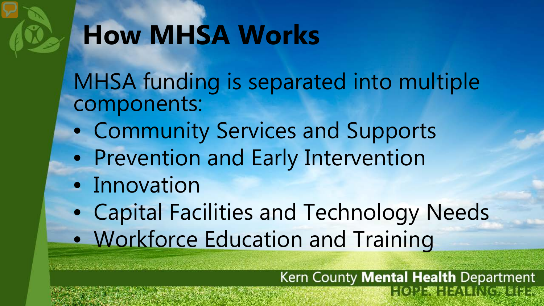### **How MHSA Works**

MHSA funding is separated into multiple components:

- Community Services and Supports
- Prevention and Early Intervention
- Innovation
- Capital Facilities and Technology Needs • Workforce Education and Training

Kern County Mental Health Department **HONEY HANK CREER**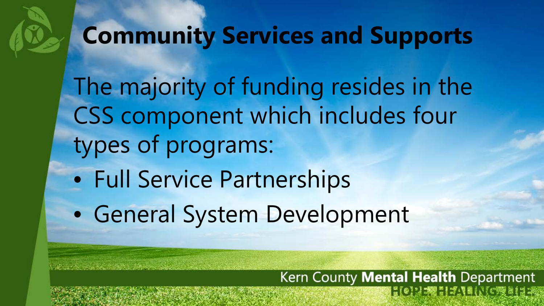### **Community Services and Supports**

The majority of funding resides in the CSS component which includes four types of programs:

Kern County Mental Health Department

**HONEY HANK CREER** 

- Full Service Partnerships
- General System Development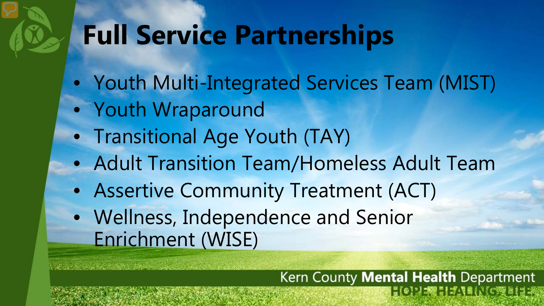### **Full Service Partnerships**

- Youth Multi-Integrated Services Team (MIST)
- Youth Wraparound
- Transitional Age Youth (TAY)
- Adult Transition Team/Homeless Adult Team
- Assertive Community Treatment (ACT)
- Wellness, Independence and Senior Enrichment (WISE)

#### Kern County Mental Health Department **EQUELITY INCREDE**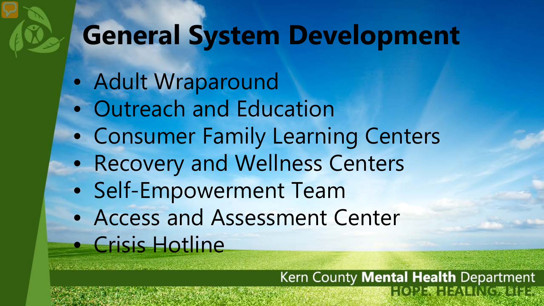### **General System Development**

- Adult Wraparound
- Outreach and Education
- Consumer Family Learning Centers
- Recovery and Wellness Centers
- Self-Empowerment Team
- Access and Assessment Center • Crisis Hotline

Kern County Mental Health Department **EQNESIAN INCRESE**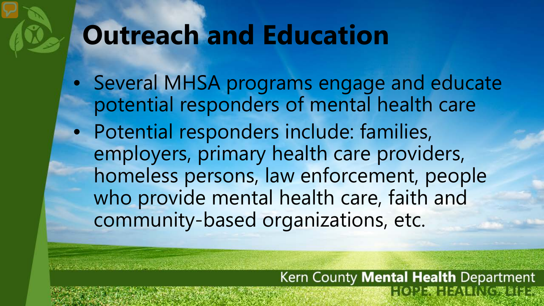### **Outreach and Education**

- Several MHSA programs engage and educate potential responders of mental health care
- Potential responders include: families, employers, primary health care providers, homeless persons, law enforcement, people who provide mental health care, faith and community-based organizations, etc.

#### Kern County Mental Health Department **EQUESTION CRELLE**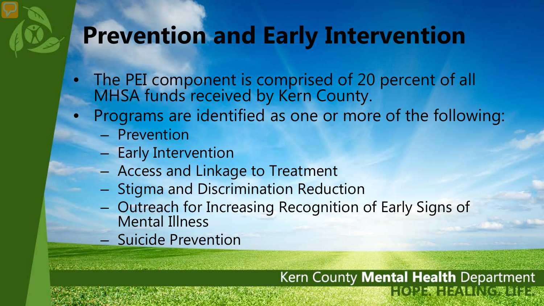### **Prevention and Early Intervention**

- The PEI component is comprised of 20 percent of all MHSA funds received by Kern County.
- Programs are identified as one or more of the following:
	- Prevention
	- Early Intervention
	- Access and Linkage to Treatment
	- Stigma and Discrimination Reduction
	- Outreach for Increasing Recognition of Early Signs of Mental Illness
	- Suicide Prevention

#### Kern County Mental Health Department **EQERETION** (YORNER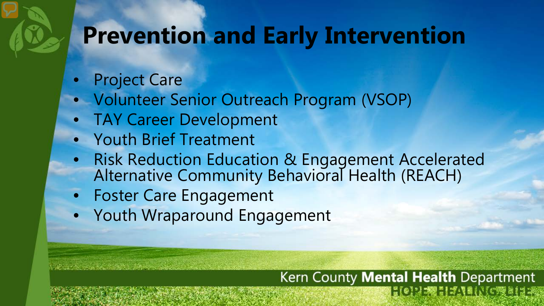### **Prevention and Early Intervention**

- Project Care
- Volunteer Senior Outreach Program (VSOP)
- TAY Career Development
- Youth Brief Treatment
- Risk Reduction Education & Engagement Accelerated Alternative Community Behavioral Health (REACH)
- Foster Care Engagement
- Youth Wraparound Engagement

#### Kern County Mental Health Department **EQUESTION CRELLE**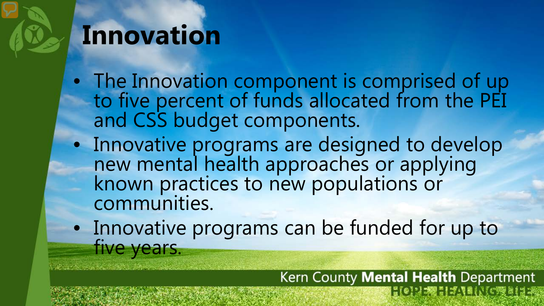### **Innovation**

- The Innovation component is comprised of up to five percent of funds allocated from the PEI and CSS budget components.
- Innovative programs are designed to develop new mental health approaches or applying known practices to new populations or communities.
- Innovative programs can be funded for up to five years.

Kern County Mental Health Department  $|{n\brack 0} \rangle |{\cal B} \rangle |{\cal B} \rangle |{\cal B} \rangle |{\cal B} \rangle |{\cal C} \rangle |{\cal B} \rangle |{\cal B} \rangle |{\cal B} \rangle |{\cal B} \rangle |{\cal B} \rangle |{\cal B} \rangle |{\cal B} \rangle |{\cal B} \rangle |{\cal B} \rangle |{\cal B} \rangle |{\cal B} \rangle |{\cal B} \rangle |{\cal B} \rangle |{\cal B} \rangle |{\cal B} \rangle |{\cal B} \rangle |{\cal B} \rangle |{\cal B} \rangle |{\cal B} \rangle |{\cal B} \rangle |{\cal B} \rangle |{\cal B} \rangle |{\cal B} \rangle |{\cal B} \rangle |{\cal B} \$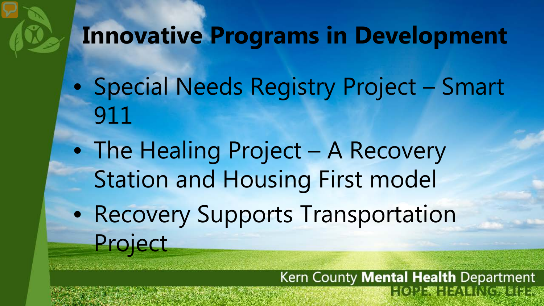### **Innovative Programs in Development**

- Special Needs Registry Project Smart 911
- The Healing Project A Recovery Station and Housing First model
- Recovery Supports Transportation Project

Kern County Mental Health Department **EQUELLISTIC NEWSFILE**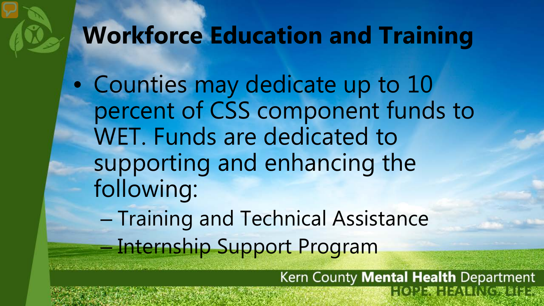### **Workforce Education and Training**

• Counties may dedicate up to 10 percent of CSS component funds to WET. Funds are dedicated to supporting and enhancing the following: – Training and Technical Assistance

– Internship Support Program

Kern County Mental Health Department  $|20:32001171600000134$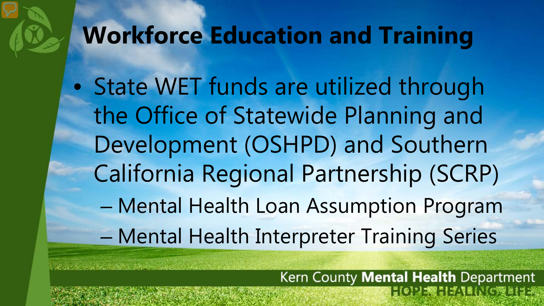### **Workforce Education and Training**

• State WET funds are utilized through the Office of Statewide Planning and Development (OSHPD) and Southern California Regional Partnership (SCRP) – Mental Health Loan Assumption Program – Mental Health Interpreter Training Series

> Kern County Mental Health Department **EQUELITANING RELEA**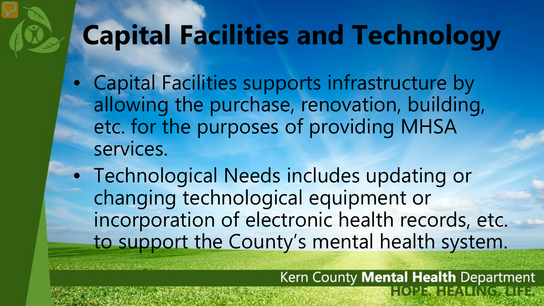### **Capital Facilities and Technology**

- Capital Facilities supports infrastructure by allowing the purchase, renovation, building, etc. for the purposes of providing MHSA services.
- Technological Needs includes updating or changing technological equipment or incorporation of electronic health records, etc. to support the County's mental health system.

Kern County Mental Health Department **HOMPET ANNIVERSINE**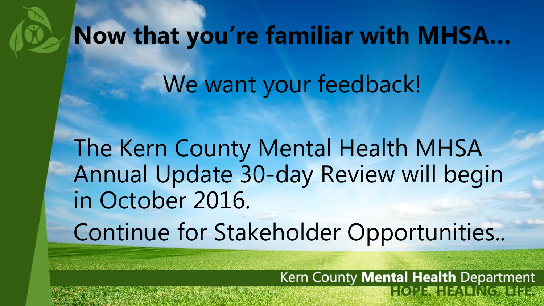# **Now that you're familiar with MHSA…** We want your feedback!

The Kern County Mental Health MHSA Annual Update 30-day Review will begin in October 2016. Continue for Stakeholder Opportunities..

> Kern County Mental Health Department  $|20:32001171600000134$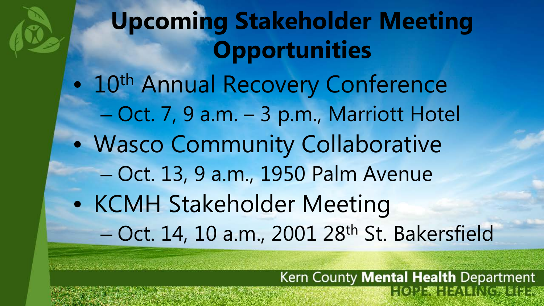## **Upcoming Stakeholder Meeting Opportunities**  • 10<sup>th</sup> Annual Recovery Conference

- Oct. 7, 9 a.m. 3 p.m., Marriott Hotel
- Wasco Community Collaborative
	- Oct. 13, 9 a.m., 1950 Palm Avenue
- KCMH Stakeholder Meeting – Oct. 14, 10 a.m., 2001 28th St. Bakersfield

Kern County Mental Health Department  $|T(0)| = \frac{1}{2} \frac{1}{2} \frac{1}{2} \frac{1}{2} \frac{1}{2} \frac{1}{2} \frac{1}{2} \frac{1}{2} \frac{1}{2} \frac{1}{2} \frac{1}{2} \frac{1}{2} \frac{1}{2} \frac{1}{2} \frac{1}{2} \frac{1}{2} \frac{1}{2} \frac{1}{2} \frac{1}{2} \frac{1}{2} \frac{1}{2} \frac{1}{2} \frac{1}{2} \frac{1}{2} \frac{1}{2} \frac{1}{2} \frac{1}{2} \frac{1}{2} \frac{1}{2} \frac{1}{2} \frac{1$